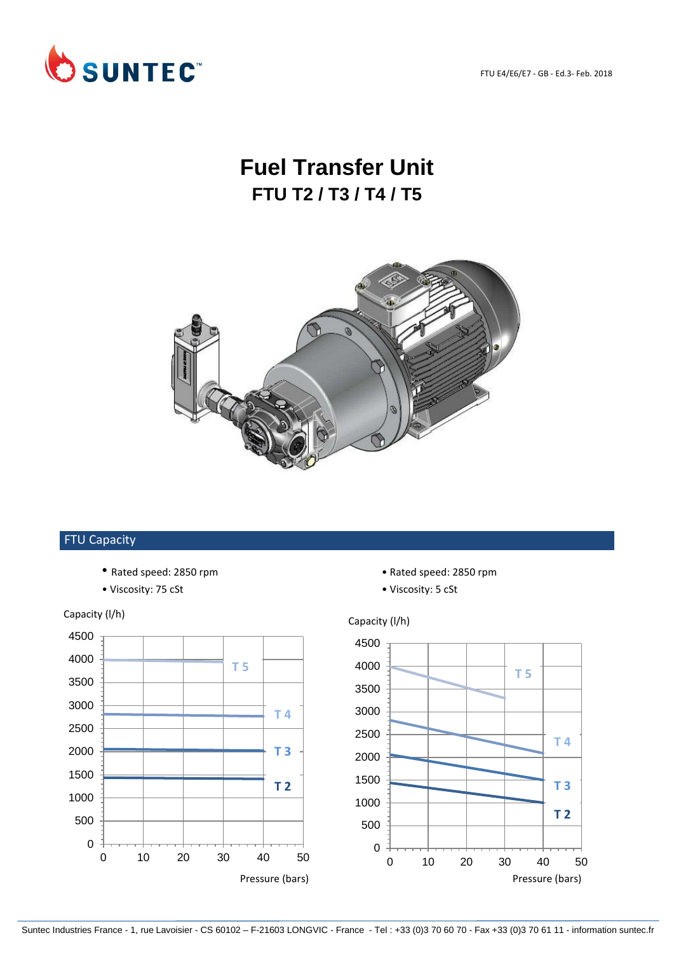FTU E4/E6/E7 - GB - Ed.3- Feb. 2018



## **Fuel Transfer Unit FTU T2 / T3 / T4 / T5**



## FTU Capacity

- Rated speed: 2850 rpm Rated speed: 2850 rpm
- Viscosity: 75 cSt Viscosity: 5 cSt



- 
-